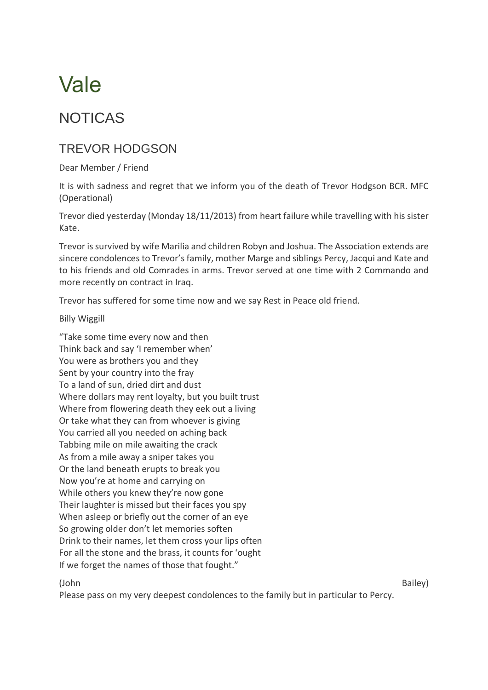## Vale

## NOTICAS

## TREVOR HODGSON

Dear Member / Friend

It is with sadness and regret that we inform you of the death of Trevor Hodgson BCR. MFC (Operational)

Trevor died yesterday (Monday 18/11/2013) from heart failure while travelling with his sister Kate.

Trevor is survived by wife Marilia and children Robyn and Joshua. The Association extends are sincere condolences to Trevor's family, mother Marge and siblings Percy, Jacqui and Kate and to his friends and old Comrades in arms. Trevor served at one time with 2 Commando and more recently on contract in Iraq.

Trevor has suffered for some time now and we say Rest in Peace old friend.

Billy Wiggill

"Take some time every now and then Think back and say 'I remember when' You were as brothers you and they Sent by your country into the fray To a land of sun, dried dirt and dust Where dollars may rent loyalty, but you built trust Where from flowering death they eek out a living Or take what they can from whoever is giving You carried all you needed on aching back Tabbing mile on mile awaiting the crack As from a mile away a sniper takes you Or the land beneath erupts to break you Now you're at home and carrying on While others you knew they're now gone Their laughter is missed but their faces you spy When asleep or briefly out the corner of an eye So growing older don't let memories soften Drink to their names, let them cross your lips often For all the stone and the brass, it counts for 'ought If we forget the names of those that fought."

Please pass on my very deepest condolences to the family but in particular to Percy.

(John Bailey)